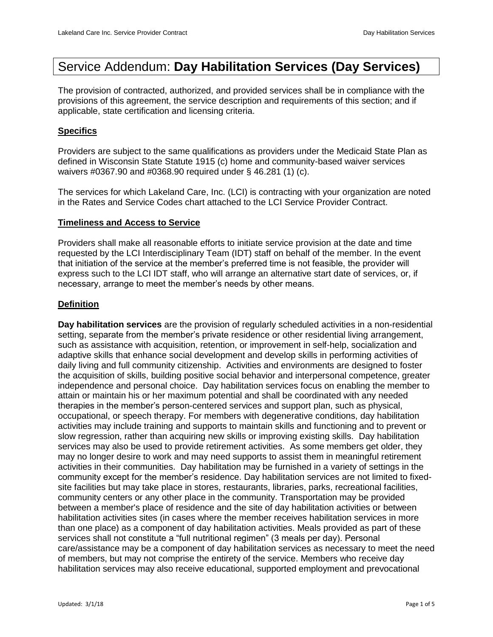# Service Addendum: **Day Habilitation Services (Day Services)**

The provision of contracted, authorized, and provided services shall be in compliance with the provisions of this agreement, the service description and requirements of this section; and if applicable, state certification and licensing criteria.

## **Specifics**

Providers are subject to the same qualifications as providers under the Medicaid State Plan as defined in Wisconsin State Statute 1915 (c) home and community-based waiver services waivers #0367.90 and #0368.90 required under § 46.281 (1) (c).

The services for which Lakeland Care, Inc. (LCI) is contracting with your organization are noted in the Rates and Service Codes chart attached to the LCI Service Provider Contract.

## **Timeliness and Access to Service**

Providers shall make all reasonable efforts to initiate service provision at the date and time requested by the LCI Interdisciplinary Team (IDT) staff on behalf of the member. In the event that initiation of the service at the member's preferred time is not feasible, the provider will express such to the LCI IDT staff, who will arrange an alternative start date of services, or, if necessary, arrange to meet the member's needs by other means.

## **Definition**

**Day habilitation services** are the provision of regularly scheduled activities in a non-residential setting, separate from the member's private residence or other residential living arrangement, such as assistance with acquisition, retention, or improvement in self-help, socialization and adaptive skills that enhance social development and develop skills in performing activities of daily living and full community citizenship. Activities and environments are designed to foster the acquisition of skills, building positive social behavior and interpersonal competence, greater independence and personal choice. Day habilitation services focus on enabling the member to attain or maintain his or her maximum potential and shall be coordinated with any needed therapies in the member's person-centered services and support plan, such as physical, occupational, or speech therapy. For members with degenerative conditions, day habilitation activities may include training and supports to maintain skills and functioning and to prevent or slow regression, rather than acquiring new skills or improving existing skills. Day habilitation services may also be used to provide retirement activities. As some members get older, they may no longer desire to work and may need supports to assist them in meaningful retirement activities in their communities. Day habilitation may be furnished in a variety of settings in the community except for the member's residence. Day habilitation services are not limited to fixedsite facilities but may take place in stores, restaurants, libraries, parks, recreational facilities, community centers or any other place in the community. Transportation may be provided between a member's place of residence and the site of day habilitation activities or between habilitation activities sites (in cases where the member receives habilitation services in more than one place) as a component of day habilitation activities. Meals provided as part of these services shall not constitute a "full nutritional regimen" (3 meals per day). Personal care/assistance may be a component of day habilitation services as necessary to meet the need of members, but may not comprise the entirety of the service. Members who receive day habilitation services may also receive educational, supported employment and prevocational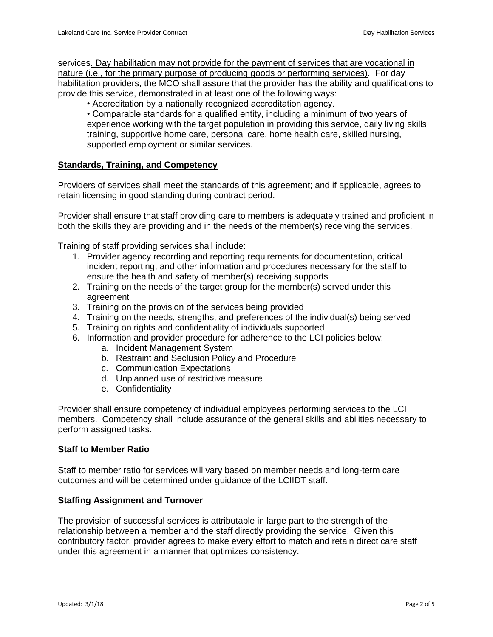services. Day habilitation may not provide for the payment of services that are vocational in nature (i.e., for the primary purpose of producing goods or performing services). For day habilitation providers, the MCO shall assure that the provider has the ability and qualifications to provide this service, demonstrated in at least one of the following ways:

• Accreditation by a nationally recognized accreditation agency.

• Comparable standards for a qualified entity, including a minimum of two years of experience working with the target population in providing this service, daily living skills training, supportive home care, personal care, home health care, skilled nursing, supported employment or similar services.

### **Standards, Training, and Competency**

Providers of services shall meet the standards of this agreement; and if applicable, agrees to retain licensing in good standing during contract period.

Provider shall ensure that staff providing care to members is adequately trained and proficient in both the skills they are providing and in the needs of the member(s) receiving the services.

Training of staff providing services shall include:

- 1. Provider agency recording and reporting requirements for documentation, critical incident reporting, and other information and procedures necessary for the staff to ensure the health and safety of member(s) receiving supports
- 2. Training on the needs of the target group for the member(s) served under this agreement
- 3. Training on the provision of the services being provided
- 4. Training on the needs, strengths, and preferences of the individual(s) being served
- 5. Training on rights and confidentiality of individuals supported
- 6. Information and provider procedure for adherence to the LCI policies below:
	- a. Incident Management System
	- b. Restraint and Seclusion Policy and Procedure
	- c. Communication Expectations
	- d. Unplanned use of restrictive measure
	- e. Confidentiality

Provider shall ensure competency of individual employees performing services to the LCI members. Competency shall include assurance of the general skills and abilities necessary to perform assigned tasks.

#### **Staff to Member Ratio**

Staff to member ratio for services will vary based on member needs and long-term care outcomes and will be determined under guidance of the LCIIDT staff.

#### **Staffing Assignment and Turnover**

The provision of successful services is attributable in large part to the strength of the relationship between a member and the staff directly providing the service. Given this contributory factor, provider agrees to make every effort to match and retain direct care staff under this agreement in a manner that optimizes consistency.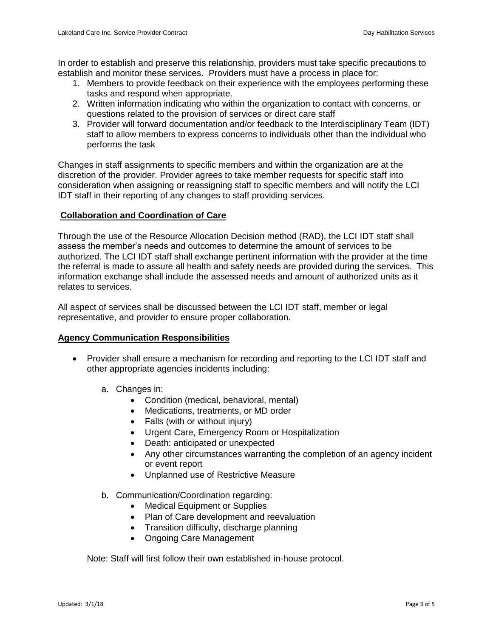In order to establish and preserve this relationship, providers must take specific precautions to establish and monitor these services. Providers must have a process in place for:

- 1. Members to provide feedback on their experience with the employees performing these tasks and respond when appropriate.
- 2. Written information indicating who within the organization to contact with concerns, or questions related to the provision of services or direct care staff
- 3. Provider will forward documentation and/or feedback to the Interdisciplinary Team (IDT) staff to allow members to express concerns to individuals other than the individual who performs the task

Changes in staff assignments to specific members and within the organization are at the discretion of the provider. Provider agrees to take member requests for specific staff into consideration when assigning or reassigning staff to specific members and will notify the LCI IDT staff in their reporting of any changes to staff providing services.

## **Collaboration and Coordination of Care**

Through the use of the Resource Allocation Decision method (RAD), the LCI IDT staff shall assess the member's needs and outcomes to determine the amount of services to be authorized. The LCI IDT staff shall exchange pertinent information with the provider at the time the referral is made to assure all health and safety needs are provided during the services. This information exchange shall include the assessed needs and amount of authorized units as it relates to services.

All aspect of services shall be discussed between the LCI IDT staff, member or legal representative, and provider to ensure proper collaboration.

## **Agency Communication Responsibilities**

- Provider shall ensure a mechanism for recording and reporting to the LCI IDT staff and other appropriate agencies incidents including:
	- a. Changes in:
		- Condition (medical, behavioral, mental)
		- Medications, treatments, or MD order
		- Falls (with or without injury)
		- Urgent Care, Emergency Room or Hospitalization
		- Death: anticipated or unexpected
		- Any other circumstances warranting the completion of an agency incident or event report
		- Unplanned use of Restrictive Measure
	- b. Communication/Coordination regarding:
		- Medical Equipment or Supplies
		- Plan of Care development and reevaluation
		- Transition difficulty, discharge planning
		- Ongoing Care Management

Note: Staff will first follow their own established in-house protocol.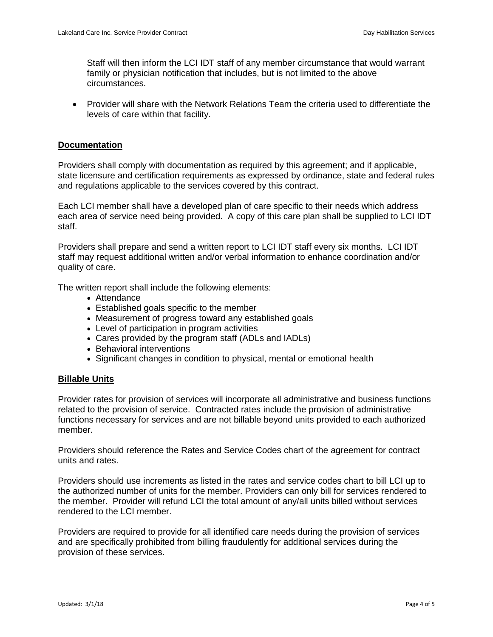Staff will then inform the LCI IDT staff of any member circumstance that would warrant family or physician notification that includes, but is not limited to the above circumstances.

 Provider will share with the Network Relations Team the criteria used to differentiate the levels of care within that facility.

#### **Documentation**

Providers shall comply with documentation as required by this agreement; and if applicable, state licensure and certification requirements as expressed by ordinance, state and federal rules and regulations applicable to the services covered by this contract.

Each LCI member shall have a developed plan of care specific to their needs which address each area of service need being provided. A copy of this care plan shall be supplied to LCI IDT staff.

Providers shall prepare and send a written report to LCI IDT staff every six months. LCI IDT staff may request additional written and/or verbal information to enhance coordination and/or quality of care.

The written report shall include the following elements:

- Attendance
- Established goals specific to the member
- Measurement of progress toward any established goals
- Level of participation in program activities
- Cares provided by the program staff (ADLs and IADLs)
- Behavioral interventions
- Significant changes in condition to physical, mental or emotional health

#### **Billable Units**

Provider rates for provision of services will incorporate all administrative and business functions related to the provision of service. Contracted rates include the provision of administrative functions necessary for services and are not billable beyond units provided to each authorized member.

Providers should reference the Rates and Service Codes chart of the agreement for contract units and rates.

Providers should use increments as listed in the rates and service codes chart to bill LCI up to the authorized number of units for the member. Providers can only bill for services rendered to the member. Provider will refund LCI the total amount of any/all units billed without services rendered to the LCI member.

Providers are required to provide for all identified care needs during the provision of services and are specifically prohibited from billing fraudulently for additional services during the provision of these services.